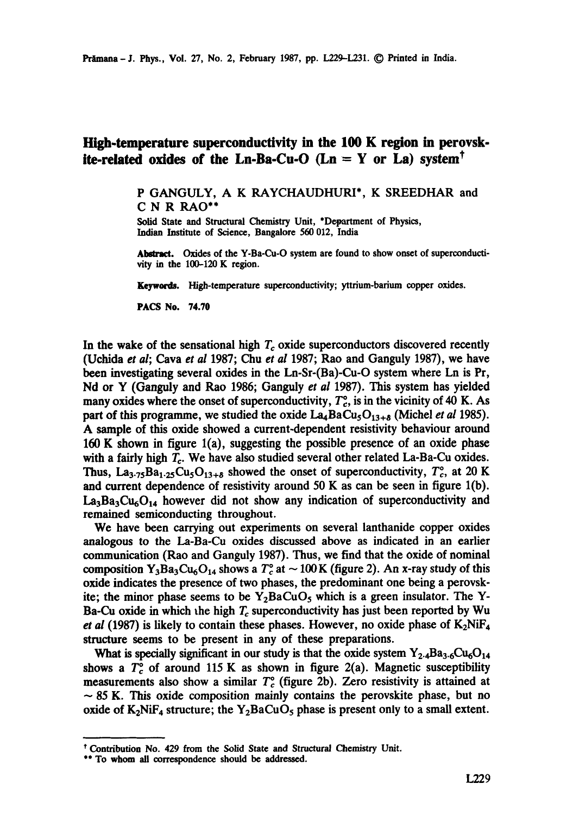## **High.temperature superconductivity in the 100 K region in perovsk**ite-related oxides of the Ln-Ba-Cu-O  $(Ln = Y \text{ or } La)$  system<sup>†</sup>

P GANGULY, A K RAYCHAUDHURI\*, K SREEDHAR and C N R RAO\*\*

Solid State and Structural Chemistry Unit, \*Department of Physics, Indian Institute of Science, Bangalore 560 012, India

Abstract. Oxides of the Y-Ba-Cu-O system are found to show onset of superconductivity in the 100-120 K region.

Keywords. High-temperature superconductivity; yttrium-barium copper oxides.

PACS No. 74.70

In the wake of the sensational high  $T_c$  oxide superconductors discovered recently (Uchida *et al;* Cava *et al* 1987; Chu *et al* 1987; Rao and Ganguly 1987), we have been investigating several oxides in the Ln-Sr-(Ba)-Cu-O system where Ln is Pr, Nd or Y (Ganguly and Rao 1986; Ganguly *et al* 1987). This system has yielded many oxides where the onset of superconductivity,  $T_c^{\circ}$ , is in the vicinity of 40 K. As part of this programme, we studied the oxide  $La_4BaCu<sub>5</sub>O<sub>13+8</sub>$  (Michel *et al* 1985). A sample of this oxide showed a current-dependent resistivity behaviour around 160 K shown in figure l(a), suggesting the possible presence of an oxide phase with a fairly high  $T_c$ . We have also studied several other related La-Ba-Cu oxides. Thus, La<sub>3.75</sub>Ba<sub>1.25</sub>Cu<sub>5</sub>O<sub>13+8</sub> showed the onset of superconductivity,  $T_c^{\circ}$ , at 20 K and current dependence of resistivity around 50 K as can be seen in figure  $1(b)$ .  $La_3Ba_3Cu_6O_{14}$  however did not show any indication of superconductivity and remained semiconducting throughout.

We have been carrying out experiments on several lanthanide copper oxides analogous to the La-Ba-Cu oxides discussed above as indicated in an earlier communication (Rao and Ganguly 1987). Thus, we find that the oxide of nominal composition  $Y_3Ba_3Cu_6O_{14}$  shows a  $T_c^{\circ}$  at  $\sim$  100 K (figure 2). An x-ray study of this oxide indicates the presence of two phases, the predominant one being a perovskite; the minor phase seems to be  $Y_2BaCuO_5$  which is a green insulator. The Y-Ba-Cu oxide in which the high  $T_c$  superconductivity has just been reported by Wu *et al* (1987) is likely to contain these phases. However, no oxide phase of  $K_2N$ iF<sub>4</sub> structure seems to be present in any of these preparations.

What is specially significant in our study is that the oxide system  $Y_{2.4}Ba_{3.6}Cu_6O_{14}$ shows a  $T_c^{\circ}$  of around 115 K as shown in figure 2(a). Magnetic susceptibility measurements also show a similar  $T_c^{\circ}$  (figure 2b). Zero resistivity is attained at  $\sim$  85 K. This oxide composition mainly contains the perovskite phase, but no oxide of  $K_2N$ iF<sub>4</sub> structure; the Y<sub>2</sub>BaCuO<sub>5</sub> phase is present only to a small extent.

<sup>\*</sup> Contribution No. 429 from the Solid State and Structural Chemistry Unit.

<sup>\*\*</sup> To whom all correspondence should be addressed.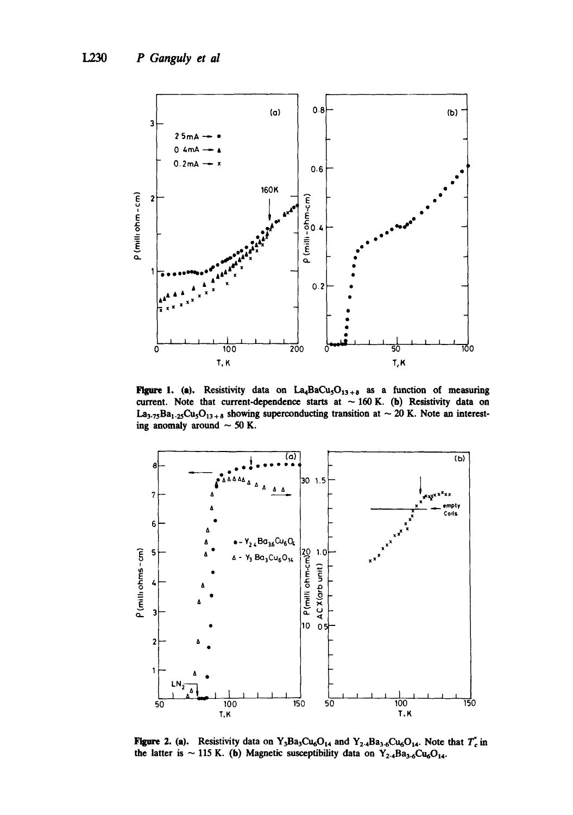

**Figure 1.** (a). Resistivity data on  $La_4BaCu_3O_{13+8}$  as a function of measuring current. Note that current-dependence starts at  $\sim$  160 K. (b) Resistivity data on La<sub>3.75</sub>Ba<sub>1.25</sub>Cu<sub>5</sub>O<sub>13+8</sub> showing superconducting transition at ~ 20 K. Note an interesting anomaly around  $\sim$  50 K.



**Figure 2. (a).** Resistivity data on Y<sub>3</sub>Ba<sub>3</sub>Cu<sub>6</sub>O<sub>14</sub> and Y<sub>2.4</sub>Ba<sub>3.6</sub>Cu<sub>6</sub>O<sub>14</sub>. Note that  $T_c$  in the latter is ~ 115 K. (b) Magnetic susceptibility data on  $Y_{2.4}Ba_{3.6}Cu_6O_{14}$ .